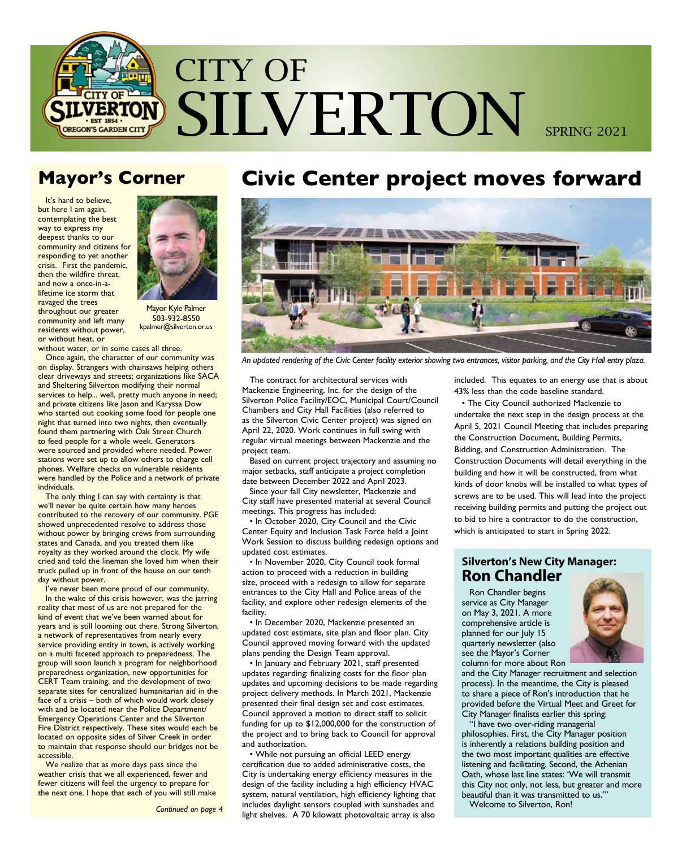

## **Mayor's Corner**

It's hard to believe, but here I am again, contemplating the best way to express my deepest thanks to our community and citizens for responding to yet another crisis. First the pandemic, then the wildfire threat, and now a once-in-alifetime ice storm that ravaged the trees throughout our greater community and left many residents without power, or without heat, or



Mayor Kyle Palmer 503-932-8550 kpalmer@silverton.or.us

without water, or in some cases all three.

Once again, the character of our community was on display. Strangers with chainsaws helping others clear driveways and streets; organizations like SACA and Sheltering Silverton modifying their normal services to help... well, pretty much anyone in need; and private citizens like Jason and Karyssa Dow who started out cooking some food for people one night that turned into two nights, then eventually found them partnering with Oak Street Church to feed people for a whole week. Generators were sourced and provided where needed. Power stations were set up to allow others to charge cell phones. Welfare checks on vulnerable residents were handled by the Police and a network of private individuals.

The only thing I can say with certainty is that we'll never be quite certain how many heroes contributed to the recovery of our community. PGE showed unprecedented resolve to address those without power by bringing crews from surrounding states and Canada, and you treated them like royalty as they worked around the clock. My wife cried and told the lineman she loved him when their truck pulled up in front of the house on our tenth day without power.

I've never been more proud of our community. In the wake of this crisis however, was the jarring reality that most of us are not prepared for the kind of event that we've been warned about for years and is still looming out there. Strong Silverton, a network of representatives from nearly every service providing entity in town, is actively working on a multi faceted approach to preparedness. The group will soon launch a program for neighborhood preparedness organization, new opportunities for CERT Team training, and the development of two separate sites for centralized humanitarian aid in the face of a crisis – both of which would work closely with and be located near the Police Department/ Emergency Operations Center and the Silverton Fire District respectively. These sites would each be located on opposite sides of Silver Creek in order to maintain that response should our bridges not be accessible.

We realize that as more days pass since the weather crisis that we all experienced, fewer and fewer citizens will feel the urgency to prepare for the next one. I hope that each of you will still make

# **Civic Center project moves forward**



*An updated rendering of the Civic Center facility exterior showing two entrances, visitor parking, and the City Hall entry plaza.*

The contract for architectural services with Mackenzie Engineering, Inc. for the design of the Silverton Police Facility/EOC, Municipal Court/Council Chambers and City Hall Facilities (also referred to as the Silverton Civic Center project) was signed on April 22, 2020. Work continues in full swing with regular virtual meetings between Mackenzie and the project team.

Based on current project trajectory and assuming no major setbacks, staff anticipate a project completion date between December 2022 and April 2023.

Since your fall City newsletter, Mackenzie and City staff have presented material at several Council meetings. This progress has included:

• In October 2020, City Council and the Civic Center Equity and Inclusion Task Force held a Joint Work Session to discuss building redesign options and updated cost estimates.

• In November 2020, City Council took formal action to proceed with a reduction in building size, proceed with a redesign to allow for separate entrances to the City Hall and Police areas of the facility, and explore other redesign elements of the facility.

• In December 2020, Mackenzie presented an updated cost estimate, site plan and floor plan. City Council approved moving forward with the updated plans pending the Design Team approval.

• In January and February 2021, staff presented updates regarding: finalizing costs for the floor plan updates and upcoming decisions to be made regarding project delivery methods. In March 2021, Mackenzie presented their final design set and cost estimates. Council approved a motion to direct staff to solicit funding for up to \$12,000,000 for the construction of the project and to bring back to Council for approval and authorization.

• While not pursuing an official LEED energy certification due to added administrative costs, the City is undertaking energy efficiency measures in the design of the facility including a high efficiency HVAC system, natural ventilation, high efficiency lighting that includes daylight sensors coupled with sunshades and light shelves. A 70 kilowatt photovoltaic array is also

included. This equates to an energy use that is about 43% less than the code baseline standard.

• The City Council authorized Mackenzie to undertake the next step in the design process at the April 5, 2021 Council Meeting that includes preparing the Construction Document, Building Permits, Bidding, and Construction Administration. The Construction Documents will detail everything in the building and how it will be constructed, from what kinds of door knobs will be installed to what types of screws are to be used. This will lead into the project receiving building permits and putting the project out to bid to hire a contractor to do the construction, which is anticipated to start in Spring 2022.

## **Silverton's New City Manager: Ron Chandler**

Ron Chandler begins service as City Manager on May 3, 2021. A more comprehensive article is planned for our July 15 quarterly newsletter (also see the Mayor's Corner column for more about Ron



and the City Manager recruitment and selection process). In the meantime, the City is pleased to share a piece of Ron's introduction that he provided before the Virtual Meet and Greet for City Manager finalists earlier this spring:

"I have two over-riding managerial philosophies. First, the City Manager position is inherently a relations building position and the two most important qualities are effective listening and facilitating. Second, the Athenian Oath, whose last line states: 'We will transmit this City not only, not less, but greater and more beautiful than it was transmitted to us.'"

Welcome to Silverton, Ron!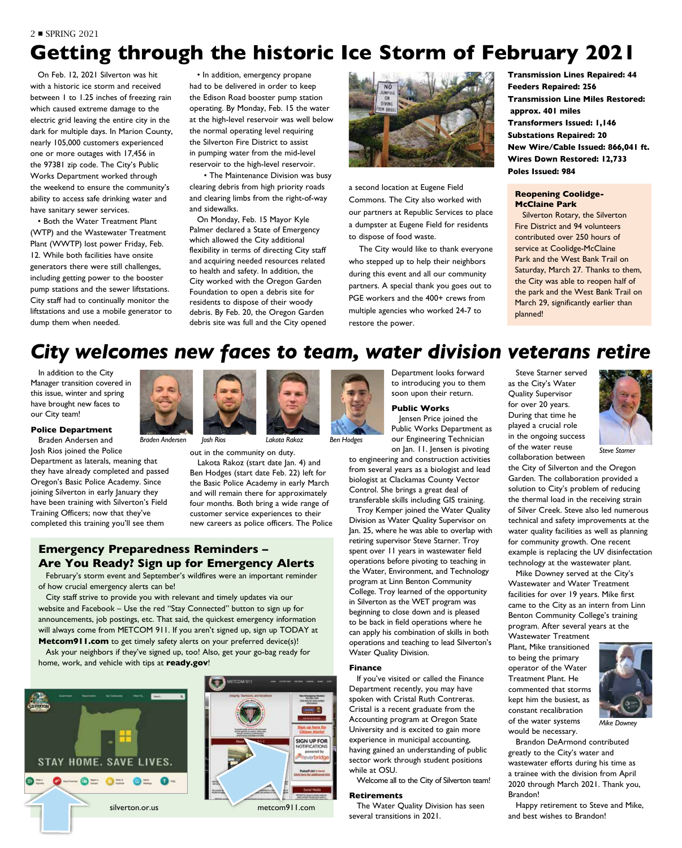#### 2 ■ SPRING 2021

# **Getting through the historic Ice Storm of February 2021**

On Feb. 12, 2021 Silverton was hit with a historic ice storm and received between 1 to 1.25 inches of freezing rain which caused extreme damage to the electric grid leaving the entire city in the dark for multiple days. In Marion County, nearly 105,000 customers experienced one or more outages with 17,456 in the 97381 zip code. The City's Public Works Department worked through the weekend to ensure the community's ability to access safe drinking water and have sanitary sewer services.

• Both the Water Treatment Plant (WTP) and the Wastewater Treatment Plant (WWTP) lost power Friday, Feb. 12. While both facilities have onsite generators there were still challenges, including getting power to the booster pump stations and the sewer liftstations. City staff had to continually monitor the liftstations and use a mobile generator to dump them when needed.

• In addition, emergency propane had to be delivered in order to keep the Edison Road booster pump station operating. By Monday, Feb. 15 the water at the high-level reservoir was well below the normal operating level requiring the Silverton Fire District to assist in pumping water from the mid-level reservoir to the high-level reservoir.

• The Maintenance Division was busy clearing debris from high priority roads and clearing limbs from the right-of-way and sidewalks.

On Monday, Feb. 15 Mayor Kyle Palmer declared a State of Emergency which allowed the City additional flexibility in terms of directing City staff and acquiring needed resources related to health and safety. In addition, the City worked with the Oregon Garden Foundation to open a debris site for residents to dispose of their woody debris. By Feb. 20, the Oregon Garden debris site was full and the City opened



a second location at Eugene Field Commons. The City also worked with our partners at Republic Services to place a dumpster at Eugene Field for residents to dispose of food waste.

 The City would like to thank everyone who stepped up to help their neighbors during this event and all our community partners. A special thank you goes out to PGE workers and the 400+ crews from multiple agencies who worked 24-7 to restore the power.

**Transmission Lines Repaired: 44 Feeders Repaired: 256 Transmission Line Miles Restored: approx. 401 miles Transformers Issued: 1,146 Substations Repaired: 20 New Wire/Cable Issued: 866,041 ft. Wires Down Restored: 12,733 Poles Issued: 984**

#### **Reopening Coolidge-McClaine Park**

Silverton Rotary, the Silverton Fire District and 94 volunteers contributed over 250 hours of service at Coolidge-McClaine Park and the West Bank Trail on Saturday, March 27. Thanks to them, the City was able to reopen half of the park and the West Bank Trail on March 29, significantly earlier than planned!

# *City welcomes new faces to team, water division veterans retire*

In addition to the City Manager transition covered in this issue, winter and spring have brought new faces to our City team!

## **Police Department**

Braden Andersen and Josh Rios joined the Police

Department as laterals, meaning that they have already completed and passed Oregon's Basic Police Academy. Since joining Silverton in early January they have been training with Silverton's Field Training Officers; now that they've completed this training you'll see them



out in the community on duty.

Lakota Rakoz (start date Jan. 4) and Ben Hodges (start date Feb. 22) left for the Basic Police Academy in early March and will remain there for approximately four months. Both bring a wide range of customer service experiences to their new careers as police officers. The Police

## **Emergency Preparedness Reminders – Are You Ready? Sign up for Emergency Alerts**

February's storm event and September's wildfires were an important reminder of how crucial emergency alerts can be!

City staff strive to provide you with relevant and timely updates via our website and Facebook – Use the red "Stay Connected" button to sign up for announcements, job postings, etc. That said, the quickest emergency information will always come from METCOM 911. If you aren't signed up, sign up TODAY at

**Metcom911.com** to get timely safety alerts on your preferred device(s)! Ask your neighbors if they've signed up, too! Also, get your go-bag ready for home, work, and vehicle with tips at **ready.gov**!







Department looks forward to introducing you to them soon upon their return.

## **Public Works**

Jensen Price joined the Public Works Department as our Engineering Technician on Jan. 11. Jensen is pivoting

to engineering and construction activities from several years as a biologist and lead biologist at Clackamas County Vector Control. She brings a great deal of transferable skills including GIS training.

Troy Kemper joined the Water Quality Division as Water Quality Supervisor on Jan. 25, where he was able to overlap with retiring supervisor Steve Starner. Troy spent over 11 years in wastewater field operations before pivoting to teaching in the Water, Environment, and Technology program at Linn Benton Community College. Troy learned of the opportunity in Silverton as the WET program was beginning to close down and is pleased to be back in field operations where he can apply his combination of skills in both operations and teaching to lead Silverton's Water Quality Division.

#### **Finance**

If you've visited or called the Finance Department recently, you may have spoken with Cristal Ruth Contreras. Cristal is a recent graduate from the Accounting program at Oregon State University and is excited to gain more experience in municipal accounting, having gained an understanding of public sector work through student positions while at OSU.

Welcome all to the City of Silverton team!

#### **Retirements**

The Water Quality Division has seen several transitions in 2021.

Steve Starner served as the City's Water Quality Supervisor for over 20 years. During that time he played a crucial role in the ongoing success of the water reuse

collaboration between



the City of Silverton and the Oregon Garden. The collaboration provided a solution to City's problem of reducing the thermal load in the receiving strain of Silver Creek. Steve also led numerous technical and safety improvements at the water quality facilities as well as planning for community growth. One recent example is replacing the UV disinfectation technology at the wastewater plant.

Mike Downey served at the City's Wastewater and Water Treatment facilities for over 19 years. Mike first came to the City as an intern from Linn Benton Community College's training program. After several years at the

Wastewater Treatment Plant, Mike transitioned to being the primary operator of the Water Treatment Plant. He commented that storms kept him the busiest, as constant recalibration of the water systems would be necessary.



Brandon DeArmond contributed greatly to the City's water and wastewater efforts during his time as a trainee with the division from April 2020 through March 2021. Thank you, Brandon!

Happy retirement to Steve and Mike, and best wishes to Brandon!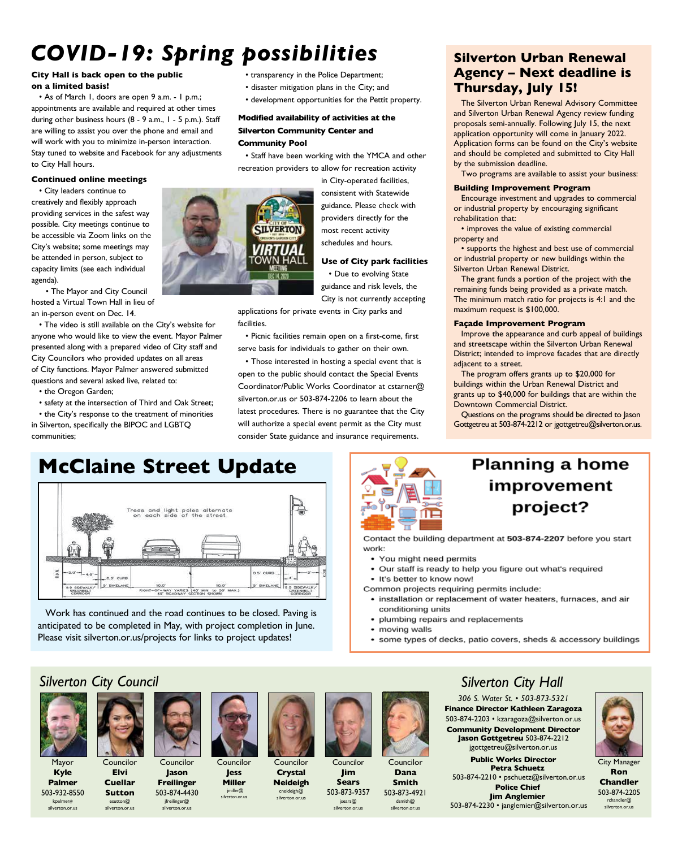# *COVID-19: Spring possibilities*

## **City Hall is back open to the public on a limited basis!**

• As of March 1, doors are open 9 a.m. - 1 p.m.; appointments are available and required at other times during other business hours (8 - 9 a.m., 1 - 5 p.m.). Staff are willing to assist you over the phone and email and will work with you to minimize in-person interaction. Stay tuned to website and Facebook for any adjustments to City Hall hours.

#### **Continued online meetings**

• City leaders continue to creatively and flexibly approach providing services in the safest way possible. City meetings continue to be accessible via Zoom links on the City's website; some meetings may be attended in person, subject to capacity limits (see each individual agenda).

• The Mayor and City Council hosted a Virtual Town Hall in lieu of an in-person event on Dec. 14.

• The video is still available on the City's website for anyone who would like to view the event. Mayor Palmer presented along with a prepared video of City staff and City Councilors who provided updates on all areas of City functions. Mayor Palmer answered submitted questions and several asked live, related to:

• the Oregon Garden;

• safety at the intersection of Third and Oak Street; • the City's response to the treatment of minorities in Silverton, specifically the BIPOC and LGBTQ communities;

## • transparency in the Police Department;

- disaster mitigation plans in the City; and
- development opportunities for the Pettit property.

## **Modified availability of activities at the Silverton Community Center and Community Pool**

**SILVERTON** 

• Staff have been working with the YMCA and other recreation providers to allow for recreation activity

> in City-operated facilities, consistent with Statewide guidance. Please check with providers directly for the most recent activity schedules and hours.

## **Use of City park facilities**

• Due to evolving State guidance and risk levels, the City is not currently accepting

applications for private events in City parks and facilities.

• Picnic facilities remain open on a first-come, first serve basis for individuals to gather on their own.

• Those interested in hosting a special event that is open to the public should contact the Special Events Coordinator/Public Works Coordinator at cstarner@ silverton.or.us or 503-874-2206 to learn about the latest procedures. There is no guarantee that the City will authorize a special event permit as the City must consider State guidance and insurance requirements.

## **Silverton Urban Renewal Agency – Next deadline is Thursday, July 15!**

The Silverton Urban Renewal Advisory Committee and Silverton Urban Renewal Agency review funding proposals semi-annually. Following July 15, the next application opportunity will come in January 2022. Application forms can be found on the City's website and should be completed and submitted to City Hall by the submission deadline.

Two programs are available to assist your business:

## **Building Improvement Program**

Encourage investment and upgrades to commercial or industrial property by encouraging significant rehabilitation that:

• improves the value of existing commercial property and

• supports the highest and best use of commercial or industrial property or new buildings within the Silverton Urban Renewal District.

The grant funds a portion of the project with the remaining funds being provided as a private match. The minimum match ratio for projects is 4:1 and the maximum request is \$100,000.

## **Façade Improvement Program**

Improve the appearance and curb appeal of buildings and streetscape within the Silverton Urban Renewal District; intended to improve facades that are directly adjacent to a street.

The program offers grants up to \$20,000 for buildings within the Urban Renewal District and grants up to \$40,000 for buildings that are within the Downtown Commercial District.

Questions on the programs should be directed to Jason Gottgetreu at 503-874-2212 or jgottgetreu@silverton.or.us.

# **McClaine Street Update**



Work has continued and the road continues to be closed. Paving is anticipated to be completed in May, with project completion in June. Please visit silverton.or.us/projects for links to project updates!



# **Planning a home** improvement project?

Contact the building department at 503-874-2207 before you start work:

- You might need permits
- Our staff is ready to help you figure out what's required
- It's better to know now!
- Common projects requiring permits include:
- installation or replacement of water heaters, furnaces, and air conditioning units
- plumbing repairs and replacements
- moving walls
- some types of decks, patio covers, sheds & accessory buildings

## *Silverton City Council*

Councilor **Elvi Cuellar Sutton** esutton@ silverton.or.us



Mayor **Kyle Palmer** 503-932-8550 kpalmer@ silverton.or.us



Councilor **Jason** 

**Freilinger** 503-874-4430 jfreilinger@ silverton.or.us



Councilor **Jess Miller** jmiller@ silverton.or.us

Councilor **Crystal Neideigh**

 $c$ neideigh $@$ verton.or.us



Councilor **Jim Sears** 503-873-9357

jsears@



silverton.or.us **Smith** 503-873-4921 dsmith@ silverton.or.us

## *Silverton City Hall*

*306 S. Water St. • 503-873-5321* **Finance Director Kathleen Zaragoza** 503-874-2203 • kzaragoza@silverton.or.us **Community Development Director Jason Gottgetreu** 503-874-2212 jgottgetreu@silverton.or.us

**Public Works Director Petra Schuetz** 503-874-2210 • pschuetz@silverton.or.us **Police Chief Jim Anglemier** 503-874-2230 • janglemier@silverton.or.us



City Manager **Ron Chandler** 503-874-2205 rchandler@ silverton.or.us

Councilor **Dana**